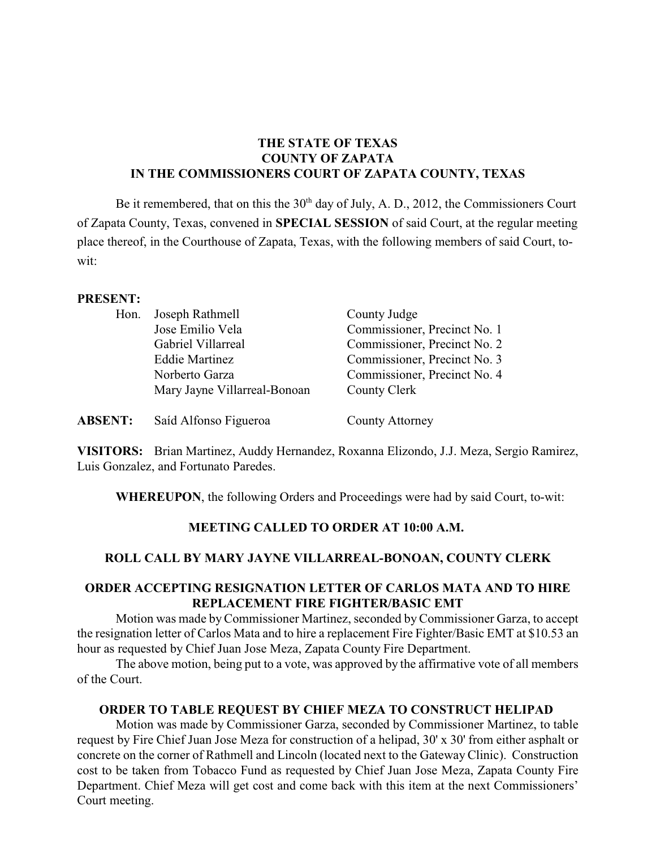# **THE STATE OF TEXAS COUNTY OF ZAPATA IN THE COMMISSIONERS COURT OF ZAPATA COUNTY, TEXAS**

Be it remembered, that on this the  $30<sup>th</sup>$  day of July, A. D., 2012, the Commissioners Court of Zapata County, Texas, convened in **SPECIAL SESSION** of said Court, at the regular meeting place thereof, in the Courthouse of Zapata, Texas, with the following members of said Court, towit:

#### **PRESENT:**

| Hon.           | Joseph Rathmell              | County Judge                 |
|----------------|------------------------------|------------------------------|
|                | Jose Emilio Vela             | Commissioner, Precinct No. 1 |
|                | Gabriel Villarreal           | Commissioner, Precinct No. 2 |
|                | <b>Eddie Martinez</b>        | Commissioner, Precinct No. 3 |
|                | Norberto Garza               | Commissioner, Precinct No. 4 |
|                | Mary Jayne Villarreal-Bonoan | County Clerk                 |
| <b>ABSENT:</b> | Saíd Alfonso Figueroa        | County Attorney              |

**VISITORS:** Brian Martinez, Auddy Hernandez, Roxanna Elizondo, J.J. Meza, Sergio Ramirez, Luis Gonzalez, and Fortunato Paredes.

**WHEREUPON**, the following Orders and Proceedings were had by said Court, to-wit:

### **MEETING CALLED TO ORDER AT 10:00 A.M.**

### **ROLL CALL BY MARY JAYNE VILLARREAL-BONOAN, COUNTY CLERK**

### **ORDER ACCEPTING RESIGNATION LETTER OF CARLOS MATA AND TO HIRE REPLACEMENT FIRE FIGHTER/BASIC EMT**

Motion was made by Commissioner Martinez, seconded by Commissioner Garza, to accept the resignation letter of Carlos Mata and to hire a replacement Fire Fighter/Basic EMT at \$10.53 an hour as requested by Chief Juan Jose Meza, Zapata County Fire Department.

The above motion, being put to a vote, was approved by the affirmative vote of all members of the Court.

### **ORDER TO TABLE REQUEST BY CHIEF MEZA TO CONSTRUCT HELIPAD**

Motion was made by Commissioner Garza, seconded by Commissioner Martinez, to table request by Fire Chief Juan Jose Meza for construction of a helipad, 30' x 30' from either asphalt or concrete on the corner of Rathmell and Lincoln (located next to the Gateway Clinic). Construction cost to be taken from Tobacco Fund as requested by Chief Juan Jose Meza, Zapata County Fire Department. Chief Meza will get cost and come back with this item at the next Commissioners' Court meeting.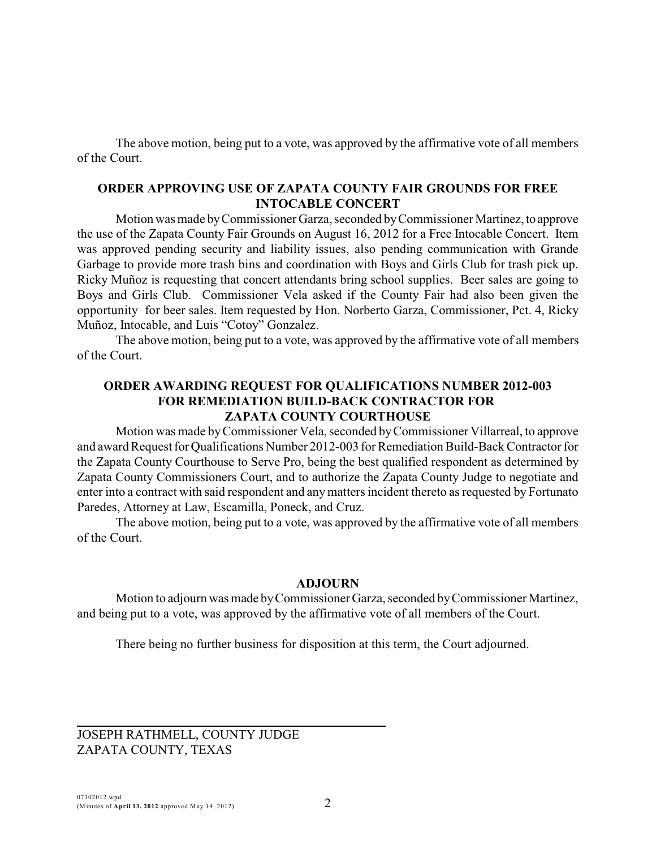The above motion, being put to a vote, was approved by the affirmative vote of all members of the Court.

# **ORDER APPROVING USE OF ZAPATA COUNTY FAIR GROUNDS FOR FREE INTOCABLE CONCERT**

Motion was made by Commissioner Garza, seconded by Commissioner Martinez, to approve the use of the Zapata County Fair Grounds on August 16, 2012 for a Free Intocable Concert. Item was approved pending security and liability issues, also pending communication with Grande Garbage to provide more trash bins and coordination with Boys and Girls Club for trash pick up. Ricky Muñoz is requesting that concert attendants bring school supplies. Beer sales are going to Boys and Girls Club. Commissioner Vela asked if the County Fair had also been given the opportunity for beer sales. Item requested by Hon. Norberto Garza, Commissioner, Pct. 4, Ricky Muñoz, Intocable, and Luis "Cotoy" Gonzalez.

The above motion, being put to a vote, was approved by the affirmative vote of all members of the Court.

# **ORDER AWARDING REQUEST FOR QUALIFICATIONS NUMBER 2012-003 FOR REMEDIATION BUILD-BACK CONTRACTOR FOR ZAPATA COUNTY COURTHOUSE**

Motion was made by Commissioner Vela, seconded byCommissioner Villarreal, to approve and award Request for Qualifications Number 2012-003 for Remediation Build-Back Contractor for the Zapata County Courthouse to Serve Pro, being the best qualified respondent as determined by Zapata County Commissioners Court, and to authorize the Zapata County Judge to negotiate and enter into a contract with said respondent and anymattersincident thereto as requested by Fortunato Paredes, Attorney at Law, Escamilla, Poneck, and Cruz.

The above motion, being put to a vote, was approved by the affirmative vote of all members of the Court.

### **ADJOURN**

Motion to adjourn was made by Commissioner Garza, seconded by Commissioner Martinez, and being put to a vote, was approved by the affirmative vote of all members of the Court.

There being no further business for disposition at this term, the Court adjourned.

JOSEPH RATHMELL, COUNTY JUDGE ZAPATA COUNTY, TEXAS